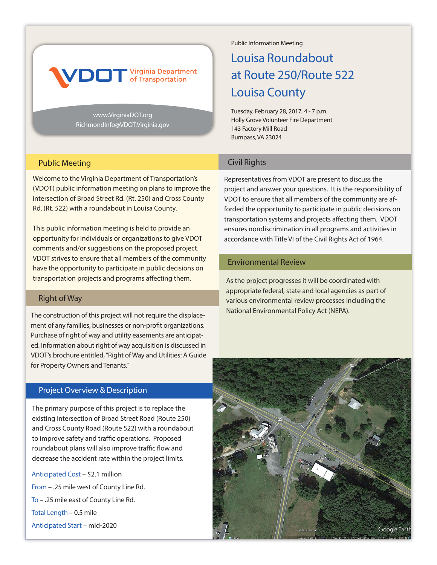

www.VirginiaDOT.org RichmondInfo@VDOT.Virginia.gov Public Information Meeting

# Louisa Roundabout at Route 250/Route 522 Louisa County

Tuesday, February 28, 2017, 4 - 7 p.m. Holly Grove Volunteer Fire Department 143 Factory Mill Road Bumpass, VA 23024

#### Public Meeting

Welcome to the Virginia Department of Transportation's (VDOT) public information meeting on plans to improve the intersection of Broad Street Rd. (Rt. 250) and Cross County Rd. (Rt. 522) with a roundabout in Louisa County.

This public information meeting is held to provide an opportunity for individuals or organizations to give VDOT comments and/or suggestions on the proposed project. VDOT strives to ensure that all members of the community have the opportunity to participate in public decisions on transportation projects and programs affecting them.

### Right of Way

The construction of this project will not require the displacement of any families, businesses or non-profit organizations. Purchase of right of way and utility easements are anticipated. Information about right of way acquisition is discussed in VDOT's brochure entitled, "Right of Way and Utilities: A Guide for Property Owners and Tenants."

## Project Overview & Description

The primary purpose of this project is to replace the existing intersection of Broad Street Road (Route 250) and Cross County Road (Route 522) with a roundabout to improve safety and traffic operations. Proposed roundabout plans will also improve traffic flow and decrease the accident rate within the project limits.

Anticipated Cost – \$2.1 million From – .25 mile west of County Line Rd. To – .25 mile east of County Line Rd. Total Length – 0.5 mile Anticipated Start – mid-2020

## Civil Rights

Representatives from VDOT are present to discuss the project and answer your questions. It is the responsibility of VDOT to ensure that all members of the community are afforded the opportunity to participate in public decisions on transportation systems and projects affecting them. VDOT ensures nondiscrimination in all programs and activities in accordance with Title VI of the Civil Rights Act of 1964.

### Environmental Review

As the project progresses it will be coordinated with appropriate federal, state and local agencies as part of various environmental review processes including the National Environmental Policy Act (NEPA).